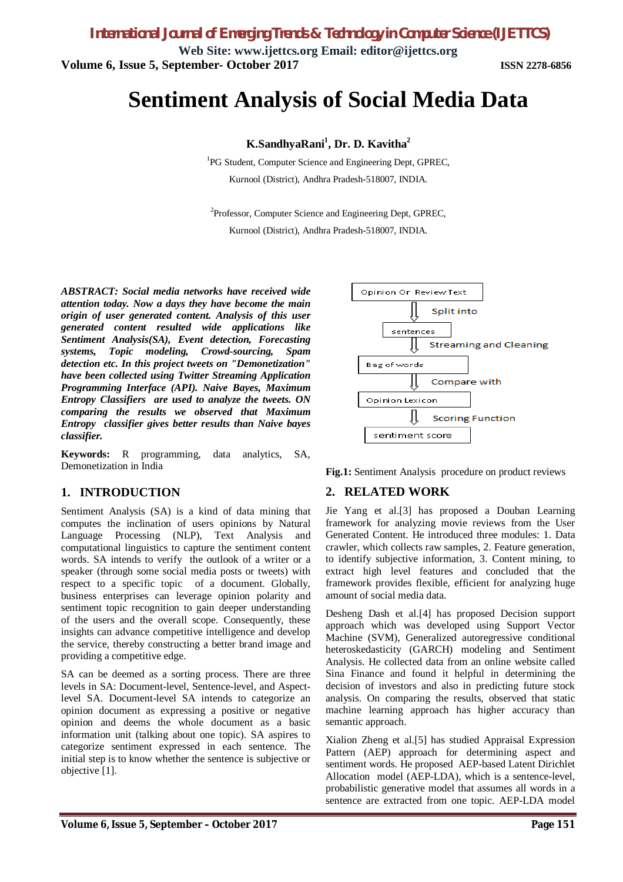**Web Site: www.ijettcs.org Email: editor@ijettcs.org Volume 6, Issue 5, September- October 2017 ISSN 2278-6856**

# **Sentiment Analysis of Social Media Data**

#### **K.SandhyaRani<sup>1</sup> , Dr. D. Kavitha<sup>2</sup>**

<sup>1</sup>PG Student, Computer Science and Engineering Dept, GPREC, Kurnool (District), Andhra Pradesh-518007, INDIA.

<sup>2</sup>Professor, Computer Science and Engineering Dept, GPREC, Kurnool (District), Andhra Pradesh-518007, INDIA.

*ABSTRACT: Social media networks have received wide attention today. Now a days they have become the main origin of user generated content. Analysis of this user generated content resulted wide applications like Sentiment Analysis(SA), Event detection, Forecasting systems, Topic modeling, Crowd-sourcing, Spam detection etc. In this project tweets on "Demonetization" have been collected using Twitter Streaming Application Programming Interface (API). Naive Bayes, Maximum Entropy Classifiers are used to analyze the tweets. ON comparing the results we observed that Maximum Entropy classifier gives better results than Naive bayes classifier.*

**Keywords:** R programming, data analytics, SA, Demonetization in India

#### **1. INTRODUCTION**

Sentiment Analysis (SA) is a kind of data mining that computes the inclination of users opinions by Natural Language Processing (NLP), Text Analysis and computational linguistics to capture the sentiment content words. SA intends to verify the outlook of a writer or a speaker (through some social media posts or tweets) with respect to a specific topic of a document. Globally, business enterprises can leverage opinion polarity and sentiment topic recognition to gain deeper understanding of the users and the overall scope. Consequently, these insights can advance competitive intelligence and develop the service, thereby constructing a better brand image and providing a competitive edge.

SA can be deemed as a sorting process. There are three levels in SA: Document-level, Sentence-level, and Aspectlevel SA. Document-level SA intends to categorize an opinion document as expressing a positive or negative opinion and deems the whole document as a basic information unit (talking about one topic). SA aspires to categorize sentiment expressed in each sentence. The initial step is to know whether the sentence is subjective or objective [1].



**Fig.1:** Sentiment Analysis procedure on product reviews

#### **2. RELATED WORK**

Jie Yang et al.[3] has proposed a Douban Learning framework for analyzing movie reviews from the User Generated Content. He introduced three modules: 1. Data crawler, which collects raw samples, 2. Feature generation, to identify subjective information, 3. Content mining, to extract high level features and concluded that the framework provides flexible, efficient for analyzing huge amount of social media data.

Desheng Dash et al.[4] has proposed Decision support approach which was developed using Support Vector Machine (SVM), Generalized autoregressive conditional heteroskedasticity (GARCH) modeling and Sentiment Analysis. He collected data from an online website called Sina Finance and found it helpful in determining the decision of investors and also in predicting future stock analysis. On comparing the results, observed that static machine learning approach has higher accuracy than semantic approach.

Xialion Zheng et al.[5] has studied Appraisal Expression Pattern (AEP) approach for determining aspect and sentiment words. He proposed AEP-based Latent Dirichlet Allocation model (AEP-LDA), which is a sentence-level, probabilistic generative model that assumes all words in a sentence are extracted from one topic. AEP-LDA model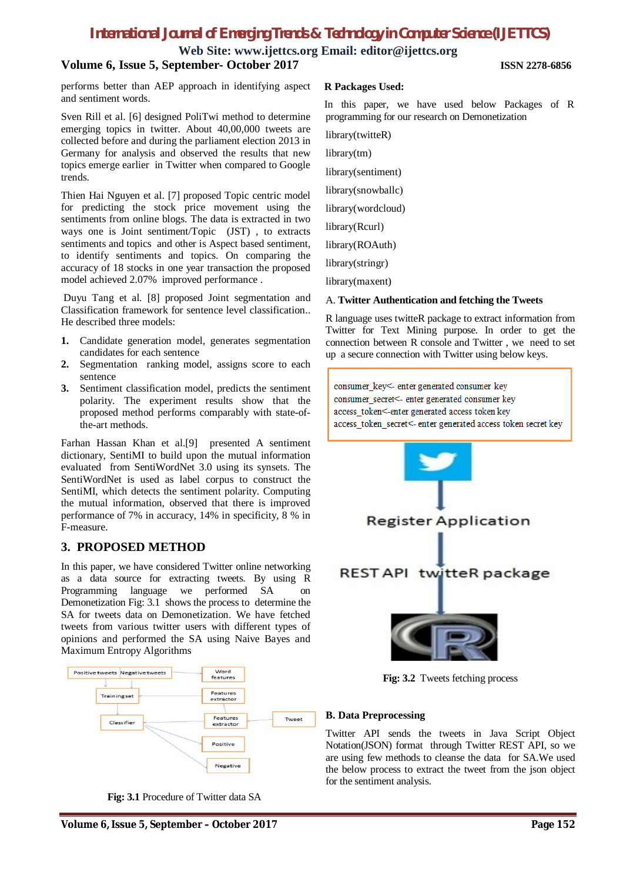**Web Site: www.ijettcs.org Email: editor@ijettcs.org**

#### **Volume 6, Issue 5, September- October 2017 ISSN 2278-6856**

performs better than AEP approach in identifying aspect and sentiment words.

Sven Rill et al. [6] designed PoliTwi method to determine emerging topics in twitter. About 40,00,000 tweets are collected before and during the parliament election 2013 in Germany for analysis and observed the results that new topics emerge earlier in Twitter when compared to Google trends.

Thien Hai Nguyen et al. [7] proposed Topic centric model for predicting the stock price movement using the sentiments from online blogs. The data is extracted in two ways one is Joint sentiment/Topic (JST) , to extracts sentiments and topics and other is Aspect based sentiment, to identify sentiments and topics. On comparing the accuracy of 18 stocks in one year transaction the proposed model achieved 2.07% improved performance .

Duyu Tang et al. [8] proposed Joint segmentation and Classification framework for sentence level classification.. He described three models:

- **1.** Candidate generation model, generates segmentation candidates for each sentence
- **2.** Segmentation ranking model, assigns score to each sentence
- **3.** Sentiment classification model, predicts the sentiment polarity. The experiment results show that the proposed method performs comparably with state-ofthe-art methods.

Farhan Hassan Khan et al.[9] presented A sentiment dictionary, SentiMI to build upon the mutual information evaluated from SentiWordNet 3.0 using its synsets. The SentiWordNet is used as label corpus to construct the SentiMI, which detects the sentiment polarity. Computing the mutual information, observed that there is improved performance of 7% in accuracy, 14% in specificity, 8 % in F-measure.

### **3. PROPOSED METHOD**

In this paper, we have considered Twitter online networking as a data source for extracting tweets. By using R Programming language we performed SA on Demonetization Fig: 3.1 shows the process to determine the SA for tweets data on Demonetization. We have fetched tweets from various twitter users with different types of opinions and performed the SA using Naive Bayes and Maximum Entropy Algorithms



**Fig: 3.1** Procedure of Twitter data SA

#### **R Packages Used:**

In this paper, we have used below Packages of R programming for our research on Demonetization

library(twitteR)

library(tm)

library(sentiment)

library(snowballc)

library(wordcloud)

library(Rcurl)

library(ROAuth)

library(stringr)

library(maxent)

#### A. **Twitter Authentication and fetching the Tweets**

R language uses twitteR package to extract information from Twitter for Text Mining purpose. In order to get the connection between R console and Twitter , we need to set up a secure connection with Twitter using below keys.

consumer\_key<- enter generated consumer key consumer secret<- enter generated consumer key access token<-enter generated access token key access\_token\_secret<- enter generated access token secret key



**Fig: 3.2** Tweets fetching process

#### **B. Data Preprocessing**

Twitter API sends the tweets in Java Script Object Notation(JSON) format through Twitter REST API, so we are using few methods to cleanse the data for SA.We used the below process to extract the tweet from the json object for the sentiment analysis.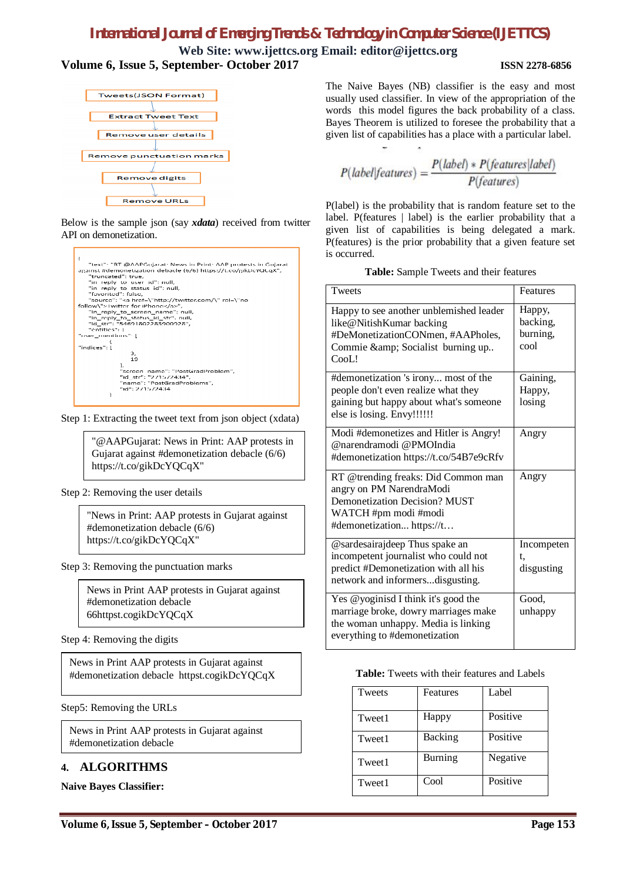**Web Site: www.ijettcs.org Email: editor@ijettcs.org Volume 6, Issue 5, September- October 2017 ISSN 2278-6856**



Below is the sample json (say *xdata*) received from twitter API on demonetization.



Step 1: Extracting the tweet text from json object (xdata)

"@AAPGujarat: News in Print: AAP protests in Gujarat against #demonetization debacle (6/6) https://t.co/gikDcYQCqX"

Step 2: Removing the user details

"News in Print: AAP protests in Gujarat against #demonetization debacle (6/6) https://t.co/gikDcYQCqX"

Step 3: Removing the punctuation marks

News in Print AAP protests in Gujarat against #demonetization debacle 66httpst.cogikDcYQCqX

Step 4: Removing the digits

News in Print AAP protests in Gujarat against #demonetization debacle httpst.cogikDcYQCqX

Step5: Removing the URLs

News in Print AAP protests in Gujarat against #demonetization debacle

### **4. ALGORITHMS**

**Naive Bayes Classifier:**

The Naive Bayes (NB) classifier is the easy and most usually used classifier. In view of the appropriation of the words this model figures the back probability of a class. Bayes Theorem is utilized to foresee the probability that a given list of capabilities has a place with a particular label.

$$
P(label|features) = \frac{P(label) * P(features|label)}{P(features)}
$$

P(label) is the probability that is random feature set to the label. P(features | label) is the earlier probability that a given list of capabilities is being delegated a mark. P(features) is the prior probability that a given feature set is occurred.

| Table: Sample Tweets and their features |  |
|-----------------------------------------|--|
|-----------------------------------------|--|

| Tweets                                                                                                                                                       | Features                               |
|--------------------------------------------------------------------------------------------------------------------------------------------------------------|----------------------------------------|
| Happy to see another unblemished leader<br>like@NitishKumar backing<br>#DeMonetizationCONmen, #AAPholes,<br>Commie & Socialist burning up<br>CooL!           | Happy,<br>backing,<br>burning,<br>cool |
| #demonetization 's irony most of the<br>people don't even realize what they<br>gaining but happy about what's someone<br>else is losing. Envy!!!!!!          | Gaining,<br>Happy,<br>losing           |
| Modi #demonetizes and Hitler is Angry!<br>@narendramodi @PMOIndia<br>#demonetization https://t.co/54B7e9cRfv                                                 | Angry                                  |
| RT @trending freaks: Did Common man<br>angry on PM NarendraModi<br><b>Demonetization Decision? MUST</b><br>WATCH #pm modi #modi<br>#demonetization https://t | Angry                                  |
| @sardesairajdeep Thus spake an<br>incompetent journalist who could not<br>predict #Demonetization with all his<br>network and informersdisgusting.           | Incompeten<br>t.<br>disgusting         |
| Yes @yoginisd I think it's good the<br>marriage broke, dowry marriages make<br>the woman unhappy. Media is linking<br>everything to #demonetization          | Good,<br>unhappy                       |

**Table:** Tweets with their features and Labels

| Tweets | Features | Label    |
|--------|----------|----------|
| Tweet1 | Happy    | Positive |
| Tweet1 | Backing  | Positive |
| Tweet1 | Burning  | Negative |
| Tweet1 | Cool     | Positive |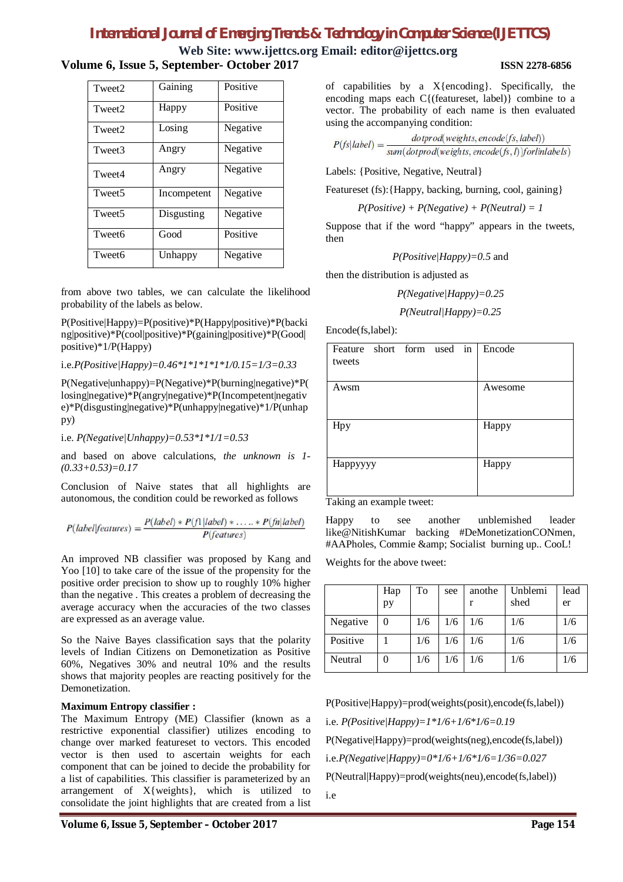#### **Web Site: www.ijettcs.org Email: editor@ijettcs.org Volume 6, Issue 5, September- October 2017 ISSN 2278-6856**

| Tweet <sub>2</sub> | Gaining     | Positive |  |
|--------------------|-------------|----------|--|
| Tweet <sub>2</sub> | Happy       | Positive |  |
| Tweet <sub>2</sub> | Losing      | Negative |  |
| Tweet3             | Angry       | Negative |  |
| Tweet4             | Angry       | Negative |  |
| Tweet <sub>5</sub> | Incompetent | Negative |  |
| Tweet <sub>5</sub> | Disgusting  | Negative |  |
| Tweet <sub>6</sub> | Good        | Positive |  |
| Tweet6             | Unhappy     | Negative |  |

from above two tables, we can calculate the likelihood probability of the labels as below.

P(Positive|Happy)=P(positive)\*P(Happy|positive)\*P(backi ng|positive)\*P(cool|positive)\*P(gaining|positive)\*P(Good| positive)\*1/P(Happy)

i.e.*P(Positive|Happy)=0.46\*1\*1\*1\*1\*1/0.15=1/3=0.33*

P(Negative|unhappy)=P(Negative)\*P(burning|negative)\*P( losing|negative)\*P(angry|negative)\*P(Incompetent|negativ e)\*P(disgusting|negative)\*P(unhappy|negative)\*1/P(unhap py)

i.e. *P(Negative|Unhappy)=0.53\*1\*1/1=0.53*

and based on above calculations, *the unknown is 1- (0.33+0.53)=0.17*

Conclusion of Naive states that all highlights are autonomous, the condition could be reworked as follows

$$
P(label|features) = \frac{P(label) * P(f|label) * ... * P(fn|label)}{P(tabel|features)} = \frac{P(label) * P(f|label) * ... * P(fn|label)}{P(tabel|features)}
$$

An improved NB classifier was proposed by Kang and Yoo [10] to take care of the issue of the propensity for the positive order precision to show up to roughly 10% higher than the negative . This creates a problem of decreasing the average accuracy when the accuracies of the two classes are expressed as an average value.

So the Naive Bayes classification says that the polarity levels of Indian Citizens on Demonetization as Positive 60%, Negatives 30% and neutral 10% and the results shows that majority peoples are reacting positively for the Demonetization.

#### **Maximum Entropy classifier :**

The Maximum Entropy (ME) Classifier (known as a restrictive exponential classifier) utilizes encoding to change over marked featureset to vectors. This encoded vector is then used to ascertain weights for each component that can be joined to decide the probability for a list of capabilities. This classifier is parameterized by an arrangement of X{weights}, which is utilized to consolidate the joint highlights that are created from a list

of capabilities by a X{encoding}. Specifically, the encoding maps each C{(featureset, label)} combine to a vector. The probability of each name is then evaluated using the accompanying condition:

$$
P(fs|label) = \frac{dotprod(weights, encode(fs, label))}{sum(dotprod(weights, encode(fs, l))forlinlabels)}
$$

Labels: {Positive, Negative, Neutral}

Featureset (fs): {Happy, backing, burning, cool, gaining}

*P(Positive) + P(Negative) + P(Neutral) = 1*

Suppose that if the word "happy" appears in the tweets, then

*P(Positive|Happy)=0.5* and

then the distribution is adjusted as

*P(Negative|Happy)=0.25*

*P(Neutral|Happy)=0.25*

Encode(fs,label):

| Feature short form used in<br>tweets | Encode  |
|--------------------------------------|---------|
| Awsm                                 | Awesome |
| Hpy                                  | Happy   |
| Нарруууу<br>- - -<br>۰.              | Happy   |

Taking an example tweet:

Happy to see another unblemished leader like@NitishKumar backing #DeMonetizationCONmen, #AAPholes, Commie & amp; Socialist burning up.. CooL!

Weights for the above tweet:

|          | Hap | To  | see | anothe | Unblemi | lead |
|----------|-----|-----|-----|--------|---------|------|
|          | pу  |     |     |        | shed    | er   |
| Negative | 0   | 1/6 | 1/6 | 1/6    | 1/6     | 1/6  |
| Positive |     | 1/6 | 1/6 | 1/6    | 1/6     | 1/6  |
| Neutral  |     | 1/6 | 1/6 | 1/6    | 1/6     | 1/6  |

P(Positive|Happy)=prod(weights(posit),encode(fs,label)) i.e. *P(Positive|Happy)=1\*1/6+1/6\*1/6=0.19* P(Negative|Happy)=prod(weights(neg),encode(fs,label)) i.e.*P(Negative|Happy)=0\*1/6+1/6\*1/6=1/36=0.027* P(Neutral|Happy)=prod(weights(neu),encode(fs,label)) i.e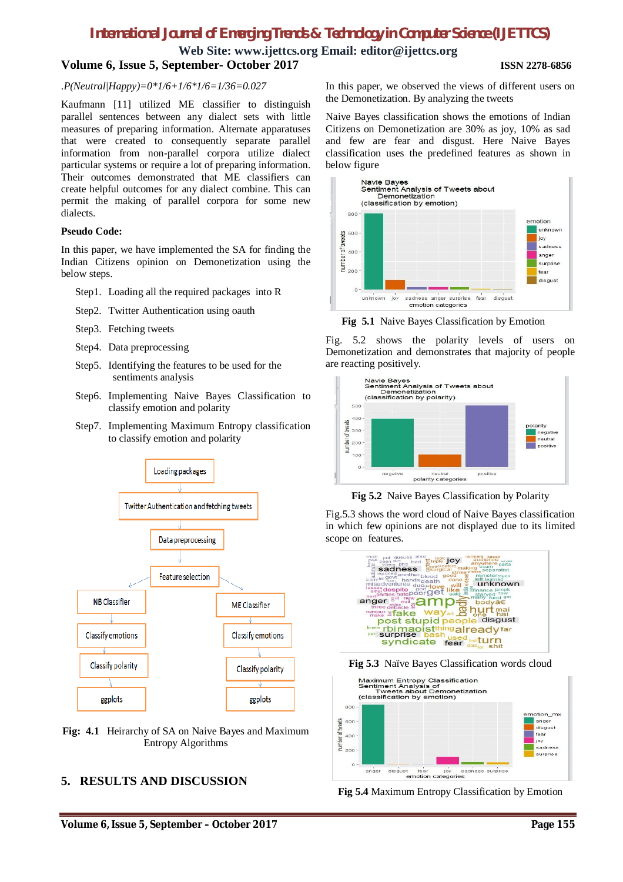#### **Web Site: www.ijettcs.org Email: editor@ijettcs.org Volume 6, Issue 5, September- October 2017 ISSN 2278-6856**

#### .*P(Neutral|Happy)=0\*1/6+1/6\*1/6=1/36=0.027*

Kaufmann [11] utilized ME classifier to distinguish parallel sentences between any dialect sets with little measures of preparing information. Alternate apparatuses that were created to consequently separate parallel information from non-parallel corpora utilize dialect particular systems or require a lot of preparing information. Their outcomes demonstrated that ME classifiers can create helpful outcomes for any dialect combine. This can permit the making of parallel corpora for some new dialects.

#### **Pseudo Code:**

In this paper, we have implemented the SA for finding the Indian Citizens opinion on Demonetization using the below steps.

- Step1. Loading all the required packages into R
- Step2. Twitter Authentication using oauth
- Step3. Fetching tweets
- Step4. Data preprocessing
- Step5. Identifying the features to be used for the sentiments analysis
- Step6. Implementing Naive Bayes Classification to classify emotion and polarity
- Step7. Implementing Maximum Entropy classification to classify emotion and polarity



**Fig: 4.1** Heirarchy of SA on Naive Bayes and Maximum Entropy Algorithms

### **5. RESULTS AND DISCUSSION**

In this paper, we observed the views of different users on the Demonetization. By analyzing the tweets

Naive Bayes classification shows the emotions of Indian Citizens on Demonetization are 30% as joy, 10% as sad and few are fear and disgust. Here Naive Bayes classification uses the predefined features as shown in below figure



**Fig 5.1** Naive Bayes Classification by Emotion

Fig. 5.2 shows the polarity levels of users on Demonetization and demonstrates that majority of people are reacting positively.



**Fig 5.2** Naive Bayes Classification by Polarity

Fig.5.3 shows the word cloud of Naive Bayes classification in which few opinions are not displayed due to its limited scope on features.







**Fig 5.4** Maximum Entropy Classification by Emotion